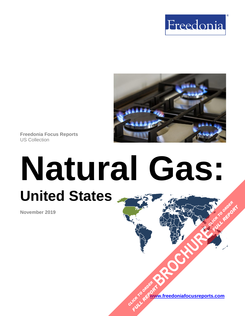



**Freedonia Focus Reports** US Collection

# **Natural Gas: United States [BROCHURE](https://www.freedoniafocusreports.com/Natural-Gas-United-States-FF45021/?progid=89541) CLICK TO ORDER**

**November 2019**

**[www.freedoniafocusreports.com](https://www.freedoniafocusreports.com/redirect.asp?progid=89534&url=/)** CLICK TO ORDER **FULL REPORT** 

**FULL REPORT**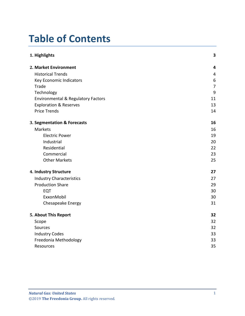# **Table of Contents**

| 1. Highlights                      | 3              |
|------------------------------------|----------------|
| 2. Market Environment              | $\overline{4}$ |
| <b>Historical Trends</b>           | 4              |
| Key Economic Indicators            | 6              |
| Trade                              | $\overline{7}$ |
| Technology                         | 9              |
| Environmental & Regulatory Factors | 11             |
| <b>Exploration &amp; Reserves</b>  | 13             |
| <b>Price Trends</b>                | 14             |
| 3. Segmentation & Forecasts        | 16             |
| Markets                            | 16             |
| <b>Electric Power</b>              | 19             |
| Industrial                         | 20             |
| Residential                        | 22             |
| Commercial                         | 23             |
| <b>Other Markets</b>               | 25             |
| 4. Industry Structure              | 27             |
| <b>Industry Characteristics</b>    | 27             |
| <b>Production Share</b>            | 29             |
| EQT                                | 30             |
| ExxonMobil                         | 30             |
| Chesapeake Energy                  | 31             |
| 5. About This Report               | 32             |
| Scope                              | 32             |
| Sources                            | 32             |
| <b>Industry Codes</b>              | 33             |
| Freedonia Methodology              | 33             |
| Resources                          | 35             |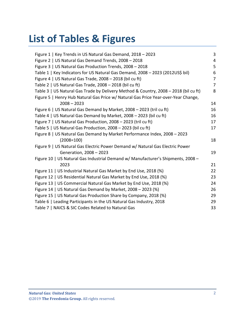# **List of Tables & Figures**

| Figure 1   Key Trends in US Natural Gas Demand, 2018 - 2023                          | 3              |
|--------------------------------------------------------------------------------------|----------------|
| Figure 2   US Natural Gas Demand Trends, 2008 - 2018                                 | 4              |
| Figure 3   US Natural Gas Production Trends, 2008 - 2018                             | 5              |
| Table 1   Key Indicators for US Natural Gas Demand, 2008 - 2023 (2012US\$ bil)       | 6              |
| Figure 4   US Natural Gas Trade, 2008 - 2018 (bil cu ft)                             | $\overline{7}$ |
| Table 2   US Natural Gas Trade, $2008 - 2018$ (bil cu ft)                            | $\overline{7}$ |
| Table 3   US Natural Gas Trade by Delivery Method & Country, 2008 - 2018 (bil cu ft) | 8              |
| Figure 5   Henry Hub Natural Gas Price w/ Natural Gas Price Year-over-Year Change,   |                |
| $2008 - 2023$                                                                        | 14             |
| Figure 6   US Natural Gas Demand by Market, 2008 - 2023 (tril cu ft)                 | 16             |
| Table 4   US Natural Gas Demand by Market, 2008 - 2023 (bil cu ft)                   | 16             |
| Figure 7   US Natural Gas Production, 2008 - 2023 (tril cu ft)                       | 17             |
| Table 5   US Natural Gas Production, $2008 - 2023$ (bil cu ft)                       | 17             |
| Figure 8   US Natural Gas Demand by Market Performance Index, 2008 - 2023            |                |
| $(2008=100)$                                                                         | 18             |
| Figure 9   US Natural Gas Electric Power Demand w/ Natural Gas Electric Power        |                |
| Generation, 2008 - 2023                                                              | 19             |
| Figure 10   US Natural Gas Industrial Demand w/ Manufacturer's Shipments, 2008 -     |                |
| 2023                                                                                 | 21             |
| Figure 11   US Industrial Natural Gas Market by End Use, 2018 (%)                    | 22             |
| Figure 12   US Residential Natural Gas Market by End Use, 2018 (%)                   | 23             |
| Figure 13   US Commercial Natural Gas Market by End Use, 2018 (%)                    | 24             |
| Figure 14   US Natural Gas Demand by Market, 2008 - 2023 (%)                         | 26             |
| Figure 15   US Natural Gas Production Share by Company, 2018 (%)                     | 29             |
| Table 6   Leading Participants in the US Natural Gas Industry, 2018                  | 29             |
| Table 7   NAICS & SIC Codes Related to Natural Gas                                   | 33             |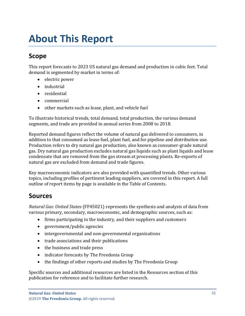# <span id="page-3-0"></span>**About This Report**

### <span id="page-3-1"></span>**Scope**

This report forecasts to 2023 US natural gas demand and production in cubic feet. Total demand is segmented by market in terms of:

- electric power
- industrial
- residential
- commercial
- other markets such as lease, plant, and vehicle fuel

To illustrate historical trends, total demand, total production, the various demand segments, and trade are provided in annual series from 2008 to 2018.

Reported demand figures reflect the volume of natural gas delivered to consumers, in addition to that consumed as lease fuel, plant fuel, and for pipeline and distribution use. Production refers to dry natural gas production, also known as consumer-grade natural gas. Dry natural gas production excludes natural gas liquids such as plant liquids and lease condensate that are removed from the gas stream at processing plants. Re-exports of natural gas are excluded from demand and trade figures.

Key macroeconomic indicators are also provided with quantified trends. Other various topics, including profiles of pertinent leading suppliers, are covered in this report. A full outline of report items by page is available in the Table of Contents.

## <span id="page-3-2"></span>**Sources**

*Natural Gas: United States* (FF45021) represents the synthesis and analysis of data from various primary, secondary, macroeconomic, and demographic sources, such as:

- firms participating in the industry, and their suppliers and customers
- government/public agencies
- intergovernmental and non-governmental organizations
- trade associations and their publications
- the business and trade press
- indicator forecasts by The Freedonia Group
- the findings of other reports and studies by The Freedonia Group

Specific sources and additional resources are listed in the Resources section of this publication for reference and to facilitate further research.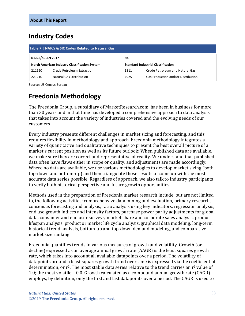## <span id="page-4-0"></span>**Industry Codes**

<span id="page-4-2"></span>

| Table 7   NAICS & SIC Codes Related to Natural Gas |                                                      |            |                                           |  |
|----------------------------------------------------|------------------------------------------------------|------------|-------------------------------------------|--|
| NAICS/SCIAN 2017                                   |                                                      | <b>SIC</b> |                                           |  |
|                                                    | <b>North American Industry Classification System</b> |            | <b>Standard Industrial Classification</b> |  |
| 211120                                             | Crude Petroleum Extraction                           | 1311       | Crude Petroleum and Natural Gas           |  |
| 221210                                             | <b>Natural Gas Distribution</b>                      | 4925       | Gas Production and/or Distribution        |  |

Source: US Census Bureau

## <span id="page-4-1"></span>**Freedonia Methodology**

The Freedonia Group, a subsidiary of MarketResearch.com, has been in business for more than 30 years and in that time has developed a comprehensive approach to data analysis that takes into account the variety of industries covered and the evolving needs of our customers.

Every industry presents different challenges in market sizing and forecasting, and this requires flexibility in methodology and approach. Freedonia methodology integrates a variety of quantitative and qualitative techniques to present the best overall picture of a market's current position as well as its future outlook: When published data are available, we make sure they are correct and representative of reality. We understand that published data often have flaws either in scope or quality, and adjustments are made accordingly. Where no data are available, we use various methodologies to develop market sizing (both top-down and bottom-up) and then triangulate those results to come up with the most accurate data series possible. Regardless of approach, we also talk to industry participants to verify both historical perspective and future growth opportunities.

Methods used in the preparation of Freedonia market research include, but are not limited to, the following activities: comprehensive data mining and evaluation, primary research, consensus forecasting and analysis, ratio analysis using key indicators, regression analysis, end use growth indices and intensity factors, purchase power parity adjustments for global data, consumer and end user surveys, market share and corporate sales analysis, product lifespan analysis, product or market life cycle analysis, graphical data modeling, long-term historical trend analysis, bottom-up and top-down demand modeling, and comparative market size ranking.

Freedonia quantifies trends in various measures of growth and volatility. Growth (or decline) expressed as an average annual growth rate (AAGR) is the least squares growth rate, which takes into account all available datapoints over a period. The volatility of datapoints around a least squares growth trend over time is expressed via the coefficient of determination, or  $r^2$ . The most stable data series relative to the trend carries an  $r^2$  value of 1.0; the most volatile – 0.0. Growth calculated as a compound annual growth rate (CAGR) employs, by definition, only the first and last datapoints over a period. The CAGR is used to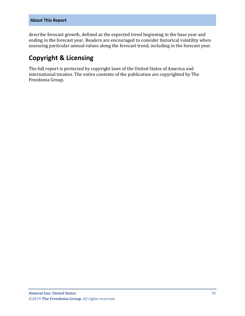describe forecast growth, defined as the expected trend beginning in the base year and ending in the forecast year. Readers are encouraged to consider historical volatility when assessing particular annual values along the forecast trend, including in the forecast year.

### **Copyright & Licensing**

The full report is protected by copyright laws of the United States of America and international treaties. The entire contents of the publication are copyrighted by The Freedonia Group.